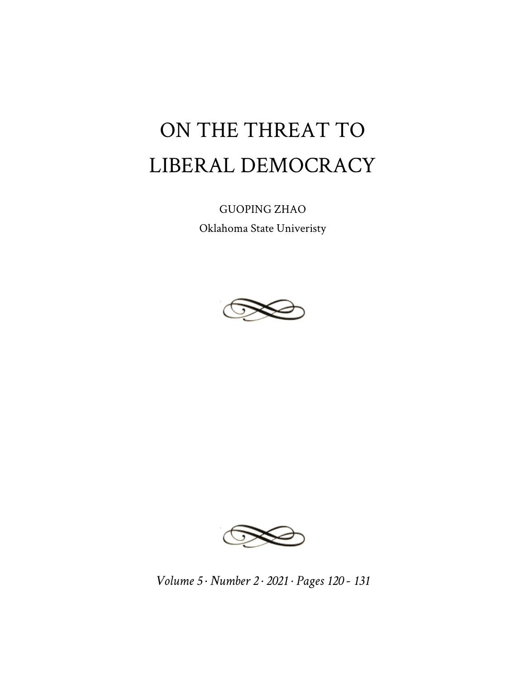## ON THE THREAT TO LIBERAL DEMOCRACY

GUOPING ZHAO Oklahoma State Univeristy





*Volume 5 · Number 2 · 2021 · Pages 120 - 131*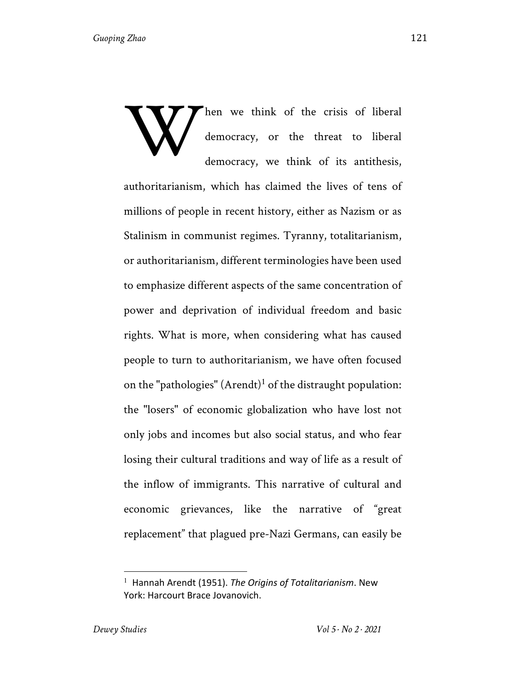hen we think of the crisis of liberal democracy, or the threat to liberal democracy, we think of its antithesis, W

authoritarianism, which has claimed the lives of tens of millions of people in recent history, either as Nazism or as Stalinism in communist regimes. Tyranny, totalitarianism, or authoritarianism, different terminologies have been used to emphasize different aspects of the same concentration of power and deprivation of individual freedom and basic rights. What is more, when considering what has caused people to turn to authoritarianism, we have often focused on the "pathologies"  $(Arendt)<sup>1</sup>$  of the distraught population: the "losers" of economic globalization who have lost not only jobs and incomes but also social status, and who fear losing their cultural traditions and way of life as a result of the inflow of immigrants. This narrative of cultural and economic grievances, like the narrative of "great replacement" that plagued pre-Nazi Germans, can easily be

<sup>1</sup> Hannah Arendt (1951). *The Origins of Totalitarianism*. New York: Harcourt Brace Jovanovich.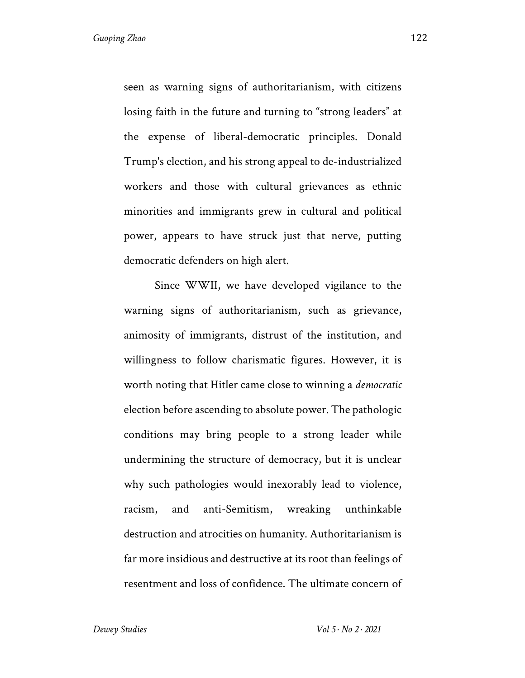seen as warning signs of authoritarianism, with citizens losing faith in the future and turning to "strong leaders" at the expense of liberal-democratic principles. Donald Trump's election, and his strong appeal to de-industrialized workers and those with cultural grievances as ethnic minorities and immigrants grew in cultural and political power, appears to have struck just that nerve, putting democratic defenders on high alert.

Since WWII, we have developed vigilance to the warning signs of authoritarianism, such as grievance, animosity of immigrants, distrust of the institution, and willingness to follow charismatic figures. However, it is worth noting that Hitler came close to winning a *democratic* election before ascending to absolute power. The pathologic conditions may bring people to a strong leader while undermining the structure of democracy, but it is unclear why such pathologies would inexorably lead to violence, racism, and anti-Semitism, wreaking unthinkable destruction and atrocities on humanity. Authoritarianism is far more insidious and destructive at its root than feelings of resentment and loss of confidence. The ultimate concern of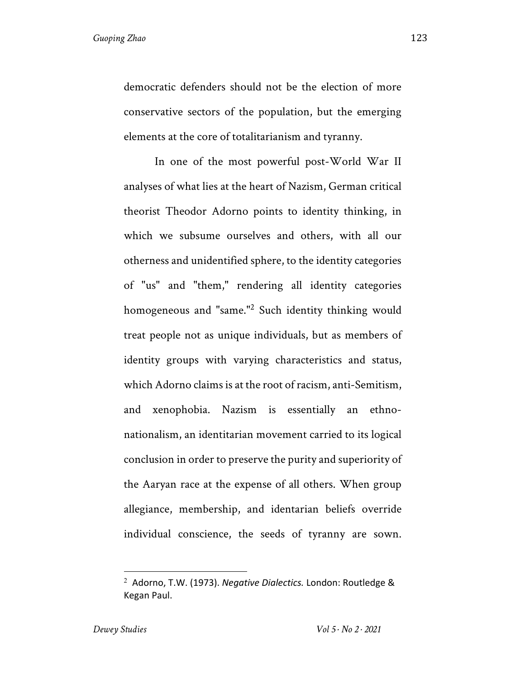democratic defenders should not be the election of more conservative sectors of the population, but the emerging elements at the core of totalitarianism and tyranny.

In one of the most powerful post-World War II analyses of what lies at the heart of Nazism, German critical theorist Theodor Adorno points to identity thinking, in which we subsume ourselves and others, with all our otherness and unidentified sphere, to the identity categories of "us" and "them," rendering all identity categories homogeneous and "same."2 Such identity thinking would treat people not as unique individuals, but as members of identity groups with varying characteristics and status, which Adorno claims is at the root of racism, anti-Semitism, and xenophobia. Nazism is essentially an ethnonationalism, an identitarian movement carried to its logical conclusion in order to preserve the purity and superiority of the Aaryan race at the expense of all others. When group allegiance, membership, and identarian beliefs override individual conscience, the seeds of tyranny are sown.

<sup>2</sup> Adorno, T.W. (1973). *Negative Dialectics.* London: Routledge & Kegan Paul.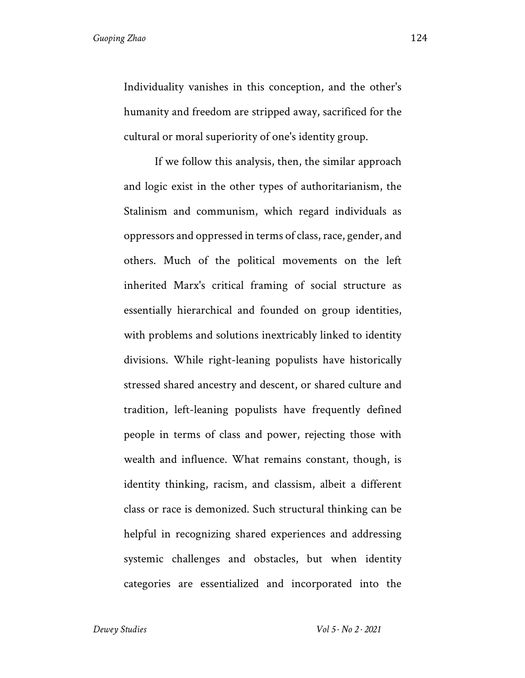Individuality vanishes in this conception, and the other's humanity and freedom are stripped away, sacrificed for the cultural or moral superiority of one's identity group.

If we follow this analysis, then, the similar approach and logic exist in the other types of authoritarianism, the Stalinism and communism, which regard individuals as oppressors and oppressed in terms of class, race, gender, and others. Much of the political movements on the left inherited Marx's critical framing of social structure as essentially hierarchical and founded on group identities, with problems and solutions inextricably linked to identity divisions. While right-leaning populists have historically stressed shared ancestry and descent, or shared culture and tradition, left-leaning populists have frequently defined people in terms of class and power, rejecting those with wealth and influence. What remains constant, though, is identity thinking, racism, and classism, albeit a different class or race is demonized. Such structural thinking can be helpful in recognizing shared experiences and addressing systemic challenges and obstacles, but when identity categories are essentialized and incorporated into the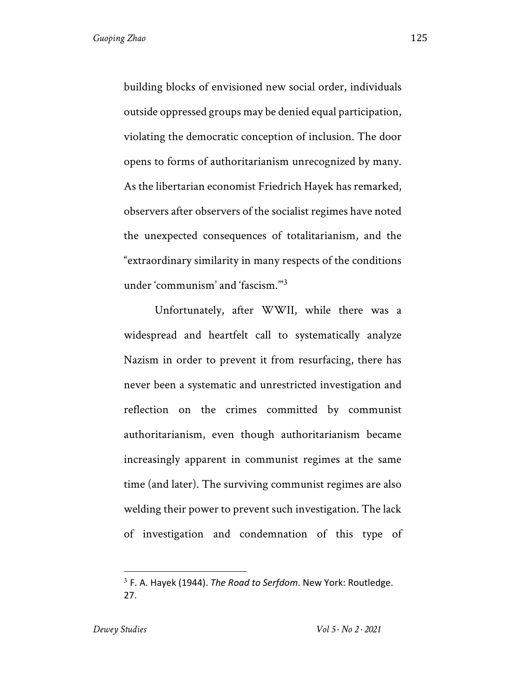building blocks of envisioned new social order, individuals outside oppressed groups may be denied equal participation, violating the democratic conception of inclusion. The door opens to forms of authoritarianism unrecognized by many. As the libertarian economist Friedrich Hayek has remarked, observers after observers of the socialist regimes have noted the unexpected consequences of totalitarianism, and the "extraordinary similarity in many respects of the conditions under 'communism' and 'fascism.'"<sup>3</sup>

Unfortunately, after WWII, while there was a widespread and heartfelt call to systematically analyze Nazism in order to prevent it from resurfacing, there has never been a systematic and unrestricted investigation and reflection on the crimes committed by communist authoritarianism, even though authoritarianism became increasingly apparent in communist regimes at the same time (and later). The surviving communist regimes are also welding their power to prevent such investigation. The lack of investigation and condemnation of this type of

<sup>3</sup> F. A. Hayek (1944). *The Road to Serfdom*. New York: Routledge. 27.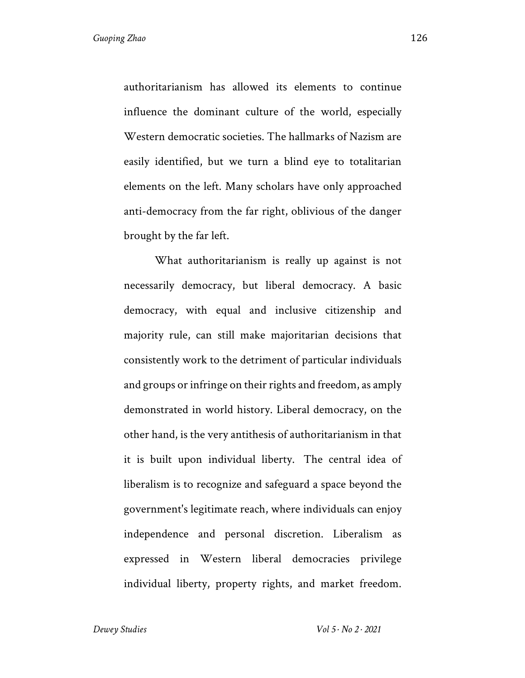authoritarianism has allowed its elements to continue influence the dominant culture of the world, especially Western democratic societies. The hallmarks of Nazism are easily identified, but we turn a blind eye to totalitarian elements on the left. Many scholars have only approached anti-democracy from the far right, oblivious of the danger brought by the far left.

What authoritarianism is really up against is not necessarily democracy, but liberal democracy. A basic democracy, with equal and inclusive citizenship and majority rule, can still make majoritarian decisions that consistently work to the detriment of particular individuals and groups or infringe on their rights and freedom, as amply demonstrated in world history. Liberal democracy, on the other hand, is the very antithesis of authoritarianism in that it is built upon individual liberty. The central idea of liberalism is to recognize and safeguard a space beyond the government's legitimate reach, where individuals can enjoy independence and personal discretion. Liberalism as expressed in Western liberal democracies privilege individual liberty, property rights, and market freedom.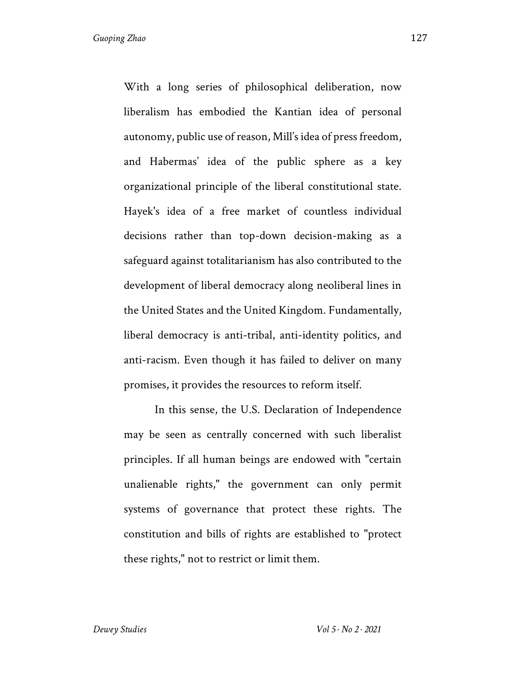With a long series of philosophical deliberation, now liberalism has embodied the Kantian idea of personal autonomy, public use of reason, Mill's idea of press freedom, and Habermas' idea of the public sphere as a key organizational principle of the liberal constitutional state. Hayek's idea of a free market of countless individual decisions rather than top-down decision-making as a safeguard against totalitarianism has also contributed to the development of liberal democracy along neoliberal lines in the United States and the United Kingdom. Fundamentally, liberal democracy is anti-tribal, anti-identity politics, and anti-racism. Even though it has failed to deliver on many promises, it provides the resources to reform itself.

In this sense, the U.S. Declaration of Independence may be seen as centrally concerned with such liberalist principles. If all human beings are endowed with "certain unalienable rights," the government can only permit systems of governance that protect these rights. The constitution and bills of rights are established to "protect these rights," not to restrict or limit them.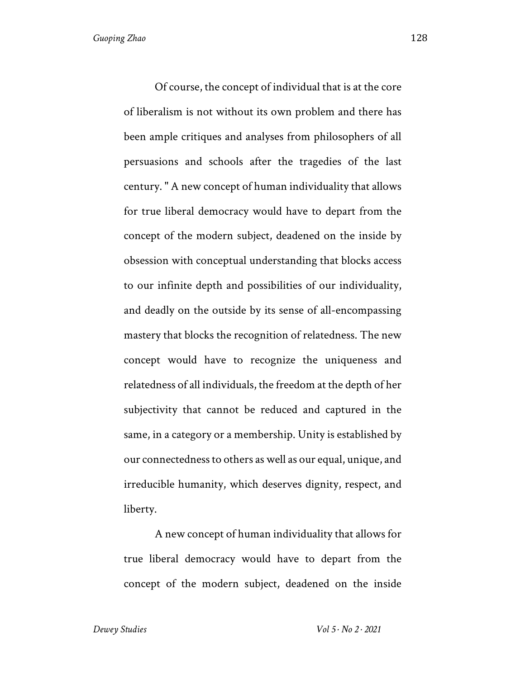Of course, the concept of individual that is at the core of liberalism is not without its own problem and there has been ample critiques and analyses from philosophers of all persuasions and schools after the tragedies of the last century. " A new concept of human individuality that allows for true liberal democracy would have to depart from the concept of the modern subject, deadened on the inside by obsession with conceptual understanding that blocks access to our infinite depth and possibilities of our individuality, and deadly on the outside by its sense of all-encompassing mastery that blocks the recognition of relatedness. The new concept would have to recognize the uniqueness and relatedness of all individuals, the freedom at the depth of her subjectivity that cannot be reduced and captured in the same, in a category or a membership. Unity is established by our connectedness to others as well as our equal, unique, and irreducible humanity, which deserves dignity, respect, and liberty.

A new concept of human individuality that allows for true liberal democracy would have to depart from the concept of the modern subject, deadened on the inside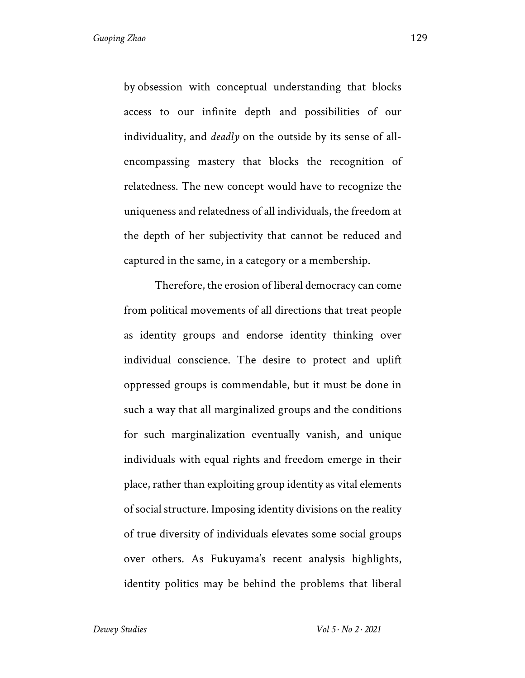by obsession with conceptual understanding that blocks access to our infinite depth and possibilities of our individuality, and *deadly* on the outside by its sense of allencompassing mastery that blocks the recognition of relatedness. The new concept would have to recognize the uniqueness and relatedness of all individuals, the freedom at the depth of her subjectivity that cannot be reduced and captured in the same, in a category or a membership.

Therefore, the erosion of liberal democracy can come from political movements of all directions that treat people as identity groups and endorse identity thinking over individual conscience. The desire to protect and uplift oppressed groups is commendable, but it must be done in such a way that all marginalized groups and the conditions for such marginalization eventually vanish, and unique individuals with equal rights and freedom emerge in their place, rather than exploiting group identity as vital elements of social structure. Imposing identity divisions on the reality of true diversity of individuals elevates some social groups over others. As Fukuyama's recent analysis highlights, identity politics may be behind the problems that liberal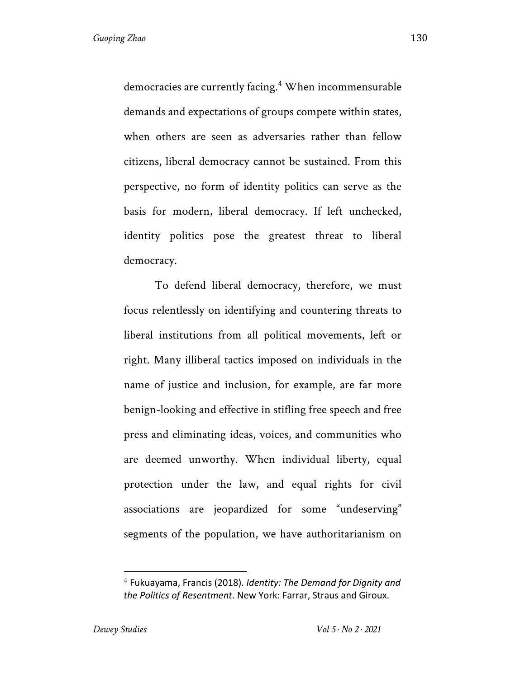democracies are currently facing.<sup>4</sup> When incommensurable demands and expectations of groups compete within states, when others are seen as adversaries rather than fellow citizens, liberal democracy cannot be sustained. From this perspective, no form of identity politics can serve as the basis for modern, liberal democracy. If left unchecked, identity politics pose the greatest threat to liberal democracy.

To defend liberal democracy, therefore, we must focus relentlessly on identifying and countering threats to liberal institutions from all political movements, left or right. Many illiberal tactics imposed on individuals in the name of justice and inclusion, for example, are far more benign-looking and effective in stifling free speech and free press and eliminating ideas, voices, and communities who are deemed unworthy. When individual liberty, equal protection under the law, and equal rights for civil associations are jeopardized for some "undeserving" segments of the population, we have authoritarianism on

<sup>4</sup> Fukuayama, Francis (2018). *Identity: The Demand for Dignity and the Politics of Resentment*. New York: Farrar, Straus and Giroux.